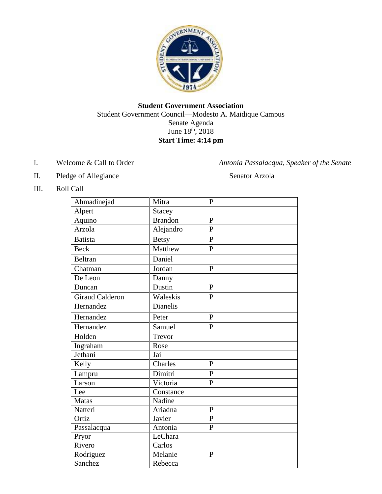

#### **Student Government Association** Student Government Council—Modesto A. Maidique Campus Senate Agenda June  $18^{th}$ ,  $2018$ **Start Time: 4:14 pm**

I. Welcome & Call to Order *Antonia Passalacqua, Speaker of the Senate* 

II. Pledge of Allegiance Senator Arzola

III. Roll Call

| Ahmadinejad     | Mitra                       | $\mathbf{P}$   |
|-----------------|-----------------------------|----------------|
| Alpert          | <b>Stacey</b>               |                |
| Aquino          | <b>Brandon</b>              | $\mathbf{P}$   |
| Arzola          | Alejandro                   | $\overline{P}$ |
| <b>Batista</b>  | <b>Betsy</b>                | $\overline{P}$ |
| <b>Beck</b>     | Matthew                     | $\overline{P}$ |
| <b>Beltran</b>  | Daniel                      |                |
| Chatman         | Jordan                      | $\mathbf{P}$   |
| De Leon         | Danny                       |                |
| Duncan          | Dustin                      | $\mathbf{P}$   |
| Giraud Calderon | Waleskis                    | $\mathbf{P}$   |
| Hernandez       | <b>Dianelis</b>             |                |
| Hernandez       | Peter                       | $\mathbf{P}$   |
| Hernandez       | Samuel                      | $\overline{P}$ |
| Holden          | Trevor                      |                |
| Ingraham        | Rose                        |                |
| Jethani         | Jai                         |                |
| Kelly           | $\overline{\text{Charles}}$ | $\overline{P}$ |
| Lampru          | Dimitri                     | $\mathbf{P}$   |
| Larson          | Victoria                    | $\mathbf{P}$   |
| Lee             | Constance                   |                |
| <b>Matas</b>    | Nadine                      |                |
| Natteri         | Ariadna                     | $\mathbf{P}$   |
| Ortiz           | Javier                      | $\overline{P}$ |
| Passalacqua     | Antonia                     | $\mathbf{P}$   |
| Pryor           | LeChara                     |                |
| Rivero          | Carlos                      |                |
| Rodriguez       | Melanie                     | $\mathbf{P}$   |
| Sanchez         | Rebecca                     |                |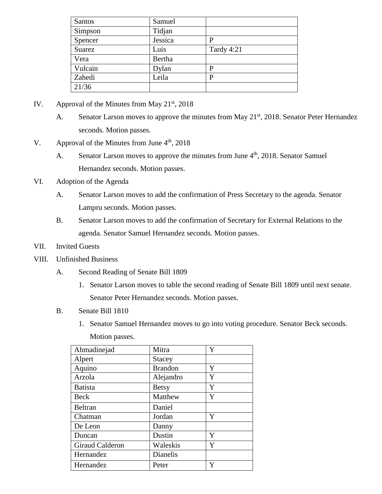| Santos  | Samuel  |            |
|---------|---------|------------|
| Simpson | Tidjan  |            |
| Spencer | Jessica | P          |
| Suarez  | Luis    | Tardy 4:21 |
| Vera    | Bertha  |            |
| Vulcain | Dylan   | P          |
| Zahedi  | Leila   | P          |
| 21/36   |         |            |

- IV. Approval of the Minutes from May  $21<sup>st</sup>$ , 2018
	- A. Senator Larson moves to approve the minutes from May 21<sup>st</sup>, 2018. Senator Peter Hernandez seconds. Motion passes.
- V. Approval of the Minutes from June  $4<sup>th</sup>$ , 2018
	- A. Senator Larson moves to approve the minutes from June  $4<sup>th</sup>$ , 2018. Senator Samuel Hernandez seconds. Motion passes.
- VI. Adoption of the Agenda
	- A. Senator Larson moves to add the confirmation of Press Secretary to the agenda. Senator Lampru seconds. Motion passes.
	- B. Senator Larson moves to add the confirmation of Secretary for External Relations to the agenda. Senator Samuel Hernandez seconds. Motion passes.
- VII. Invited Guests
- VIII. Unfinished Business
	- A. Second Reading of Senate Bill 1809
		- 1. Senator Larson moves to table the second reading of Senate Bill 1809 until next senate. Senator Peter Hernandez seconds. Motion passes.
	- B. Senate Bill 1810
		- 1. Senator Samuel Hernandez moves to go into voting procedure. Senator Beck seconds.

Motion passes.

| Ahmadinejad     | Mitra          | Y |
|-----------------|----------------|---|
| Alpert          | <b>Stacey</b>  |   |
| Aquino          | <b>Brandon</b> | Y |
| Arzola          | Alejandro      | Y |
| <b>Batista</b>  | <b>Betsy</b>   | Y |
| <b>Beck</b>     | Matthew        | Y |
| <b>Beltran</b>  | Daniel         |   |
| Chatman         | Jordan         | Y |
| De Leon         | Danny          |   |
| Duncan          | Dustin         | Y |
| Giraud Calderon | Waleskis       | Y |
| Hernandez       | Dianelis       |   |
| Hernandez       | Peter          | Y |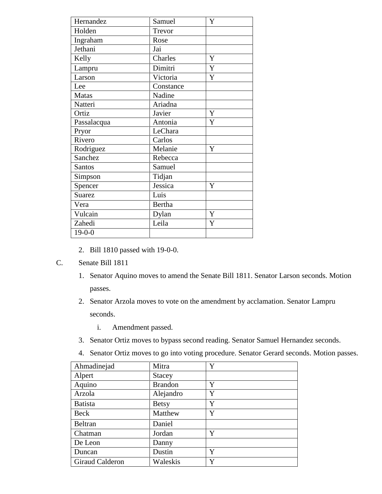| Hernandez                    | Samuel        | Y |
|------------------------------|---------------|---|
| Holden                       | Trevor        |   |
| Ingraham                     | Rose          |   |
| Jethani                      | Jai           |   |
| Kelly                        | Charles       | Y |
| Lampru                       | Dimitri       | Y |
| Larson                       | Victoria      | Y |
| Lee                          | Constance     |   |
| <b>Matas</b>                 | Nadine        |   |
| Natteri                      | Ariadna       |   |
| Ortiz                        | Javier        | Y |
| Passalacqua                  | Antonia       | Y |
| Pryor                        | LeChara       |   |
| Rivero                       | Carlos        |   |
| Rodriguez                    | Melanie       | Y |
| $\overline{\text{S}}$ anchez | Rebecca       |   |
| <b>Santos</b>                | Samuel        |   |
| Simpson                      | Tidjan        |   |
| Spencer                      | Jessica       | Y |
| <b>Suarez</b>                | Luis          |   |
| Vera                         | <b>Bertha</b> |   |
| Vulcain                      | Dylan         | Y |
| Zahedi                       | Leila         | Y |
| $19-0-0$                     |               |   |

- 2. Bill 1810 passed with 19-0-0.
- C. Senate Bill 1811
	- 1. Senator Aquino moves to amend the Senate Bill 1811. Senator Larson seconds. Motion passes.
	- 2. Senator Arzola moves to vote on the amendment by acclamation. Senator Lampru seconds.
		- i. Amendment passed.
	- 3. Senator Ortiz moves to bypass second reading. Senator Samuel Hernandez seconds.
	- 4. Senator Ortiz moves to go into voting procedure. Senator Gerard seconds. Motion passes.

| Ahmadinejad     | Mitra          | Y |
|-----------------|----------------|---|
| Alpert          | <b>Stacey</b>  |   |
| Aquino          | <b>Brandon</b> | Y |
| Arzola          | Alejandro      | Y |
| <b>Batista</b>  | <b>Betsy</b>   | Y |
| Beck            | Matthew        | Y |
| <b>Beltran</b>  | Daniel         |   |
| Chatman         | Jordan         | Y |
| De Leon         | Danny          |   |
| Duncan          | Dustin         | Y |
| Giraud Calderon | Waleskis       | Y |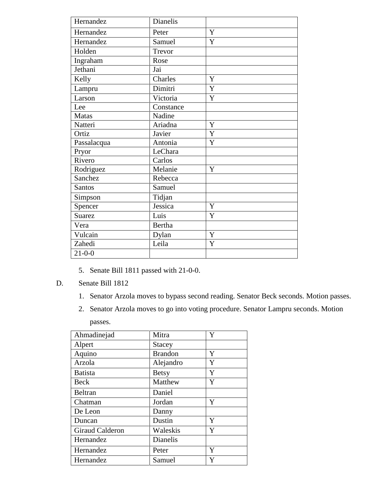| Hernandez     | Dianelis      |   |
|---------------|---------------|---|
| Hernandez     | Peter         | Y |
| Hernandez     | Samuel        | Y |
| Holden        | Trevor        |   |
| Ingraham      | Rose          |   |
| Jethani       | Jai           |   |
| Kelly         | Charles       | Y |
| Lampru        | Dimitri       | Y |
| Larson        | Victoria      | Y |
| Lee           | Constance     |   |
| <b>Matas</b>  | Nadine        |   |
| Natteri       | Ariadna       | Y |
| Ortiz         | Javier        | Y |
| Passalacqua   | Antonia       | Y |
| Pryor         | LeChara       |   |
| Rivero        | Carlos        |   |
| Rodriguez     | Melanie       | Y |
| Sanchez       | Rebecca       |   |
| <b>Santos</b> | Samuel        |   |
| Simpson       | Tidjan        |   |
| Spencer       | Jessica       | Y |
| <b>Suarez</b> | Luis          | Y |
| Vera          | <b>Bertha</b> |   |
| Vulcain       | Dylan         | Y |
| Zahedi        | Leila         | Y |
| $21 - 0 - 0$  |               |   |

- 5. Senate Bill 1811 passed with 21-0-0.
- D. Senate Bill 1812
	- 1. Senator Arzola moves to bypass second reading. Senator Beck seconds. Motion passes.
	- 2. Senator Arzola moves to go into voting procedure. Senator Lampru seconds. Motion passes.

| Ahmadinejad     | Mitra           | Y |
|-----------------|-----------------|---|
| Alpert          | Stacey          |   |
| Aquino          | <b>Brandon</b>  | Y |
| Arzola          | Alejandro       | Y |
| <b>Batista</b>  | <b>Betsy</b>    | Y |
| Beck            | Matthew         | Y |
| Beltran         | Daniel          |   |
| Chatman         | Jordan          | Y |
| De Leon         | Danny           |   |
| Duncan          | Dustin          | Y |
| Giraud Calderon | Waleskis        | Y |
| Hernandez       | <b>Dianelis</b> |   |
| Hernandez       | Peter           | Y |
| Hernandez       | Samuel          | Y |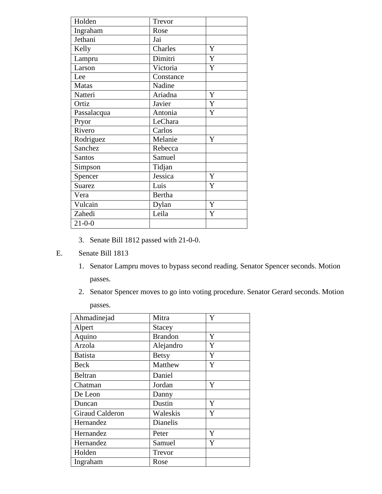| Holden        | Trevor        |   |
|---------------|---------------|---|
| Ingraham      | Rose          |   |
| Jethani       | Jai           |   |
| Kelly         | Charles       | Y |
| Lampru        | Dimitri       | Y |
| Larson        | Victoria      | Y |
| Lee           | Constance     |   |
| Matas         | Nadine        |   |
| Natteri       | Ariadna       | Y |
| Ortiz         | Javier        | Y |
| Passalacqua   | Antonia       | Y |
| Pryor         | LeChara       |   |
| Rivero        | Carlos        |   |
| Rodriguez     | Melanie       | Y |
| Sanchez       | Rebecca       |   |
| Santos        | Samuel        |   |
| Simpson       | Tidjan        |   |
| Spencer       | Jessica       | Y |
| <b>Suarez</b> | Luis          | Y |
| Vera          | <b>Bertha</b> |   |
| Vulcain       | Dylan         | Y |
| Zahedi        | Leila         | Y |
| $21 - 0 - 0$  |               |   |

3. Senate Bill 1812 passed with 21-0-0.

## E. Senate Bill 1813

- 1. Senator Lampru moves to bypass second reading. Senator Spencer seconds. Motion passes.
- 2. Senator Spencer moves to go into voting procedure. Senator Gerard seconds. Motion passes.

| Ahmadinejad     | Mitra          | Y |
|-----------------|----------------|---|
| Alpert          | Stacey         |   |
| Aquino          | <b>Brandon</b> | Y |
| Arzola          | Alejandro      | Y |
| <b>Batista</b>  | <b>Betsy</b>   | Y |
| Beck            | Matthew        | Y |
| <b>Beltran</b>  | Daniel         |   |
| Chatman         | Jordan         | Y |
| De Leon         | Danny          |   |
| Duncan          | Dustin         | Y |
| Giraud Calderon | Waleskis       | Y |
| Hernandez       | Dianelis       |   |
| Hernandez       | Peter          | Y |
| Hernandez       | Samuel         | Y |
| Holden          | Trevor         |   |
| Ingraham        | Rose           |   |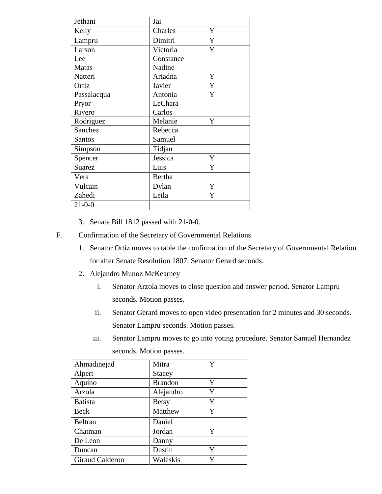| Jethani       | Jai       |   |
|---------------|-----------|---|
| Kelly         | Charles   | Y |
| Lampru        | Dimitri   | Y |
| Larson        | Victoria  | Y |
| Lee           | Constance |   |
| <b>Matas</b>  | Nadine    |   |
| Natteri       | Ariadna   | Y |
| Ortiz         | Javier    | Y |
| Passalacqua   | Antonia   | Y |
| Pryor         | LeChara   |   |
| Rivero        | Carlos    |   |
| Rodriguez     | Melanie   | Y |
| Sanchez       | Rebecca   |   |
| <b>Santos</b> | Samuel    |   |
| Simpson       | Tidjan    |   |
| Spencer       | Jessica   | Y |
| <b>Suarez</b> | Luis      | Y |
| Vera          | Bertha    |   |
| Vulcain       | Dylan     | Y |
| Zahedi        | Leila     | Y |
| $21 - 0 - 0$  |           |   |

- 3. Senate Bill 1812 passed with 21-0-0.
- F. Confirmation of the Secretary of Governmental Relations
	- 1. Senator Ortiz moves to table the confirmation of the Secretary of Governmental Relation for after Senate Resolution 1807. Senator Gerard seconds.
	- 2. Alejandro Munoz McKearney
		- i. Senator Arzola moves to close question and answer period. Senator Lampru seconds. Motion passes.
		- ii. Senator Gerard moves to open video presentation for 2 minutes and 30 seconds. Senator Lampru seconds. Motion passes.
		- iii. Senator Lampru moves to go into voting procedure. Senator Samuel Hernandez seconds. Motion passes.

| Ahmadinejad     | Mitra          | Y |
|-----------------|----------------|---|
| Alpert          | Stacey         |   |
| Aquino          | <b>Brandon</b> | Y |
| Arzola          | Alejandro      | Y |
| <b>Batista</b>  | <b>Betsy</b>   | Y |
| Beck            | Matthew        | Y |
| Beltran         | Daniel         |   |
| Chatman         | Jordan         | Y |
| De Leon         | Danny          |   |
| Duncan          | Dustin         | Y |
| Giraud Calderon | Waleskis       | Y |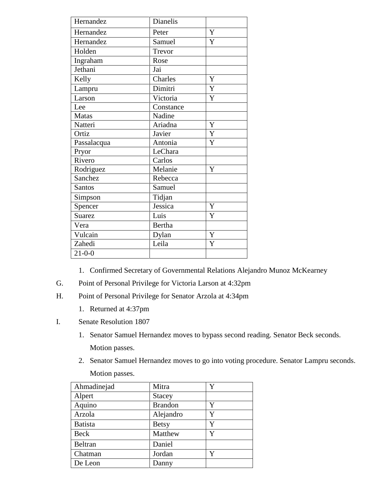| Hernandez     | Dianelis      |   |
|---------------|---------------|---|
| Hernandez     | Peter         | Y |
| Hernandez     | Samuel        | Y |
| Holden        | Trevor        |   |
| Ingraham      | Rose          |   |
| Jethani       | Jai           |   |
| Kelly         | Charles       | Y |
| Lampru        | Dimitri       | Y |
| Larson        | Victoria      | Y |
| Lee           | Constance     |   |
| <b>Matas</b>  | Nadine        |   |
| Natteri       | Ariadna       | Y |
| Ortiz         | Javier        | Y |
| Passalacqua   | Antonia       | Y |
| Pryor         | LeChara       |   |
| Rivero        | Carlos        |   |
| Rodriguez     | Melanie       | Y |
| Sanchez       | Rebecca       |   |
| <b>Santos</b> | Samuel        |   |
| Simpson       | Tidjan        |   |
| Spencer       | Jessica       | Y |
| <b>Suarez</b> | Luis          | Y |
| Vera          | <b>Bertha</b> |   |
| Vulcain       | Dylan         | Y |
| Zahedi        | Leila         | Y |
| $21 - 0 - 0$  |               |   |

1. Confirmed Secretary of Governmental Relations Alejandro Munoz McKearney

- G. Point of Personal Privilege for Victoria Larson at 4:32pm
- H. Point of Personal Privilege for Senator Arzola at 4:34pm
	- 1. Returned at 4:37pm
- I. Senate Resolution 1807
	- 1. Senator Samuel Hernandez moves to bypass second reading. Senator Beck seconds. Motion passes.
	- 2. Senator Samuel Hernandez moves to go into voting procedure. Senator Lampru seconds. Motion passes.

| Ahmadinejad    | Mitra          | Y |
|----------------|----------------|---|
| Alpert         | Stacey         |   |
| Aquino         | <b>Brandon</b> | Y |
| Arzola         | Alejandro      | Y |
| <b>Batista</b> | <b>Betsy</b>   | Y |
| Beck           | Matthew        | Y |
| Beltran        | Daniel         |   |
| Chatman        | Jordan         | Y |
| De Leon        | Danny          |   |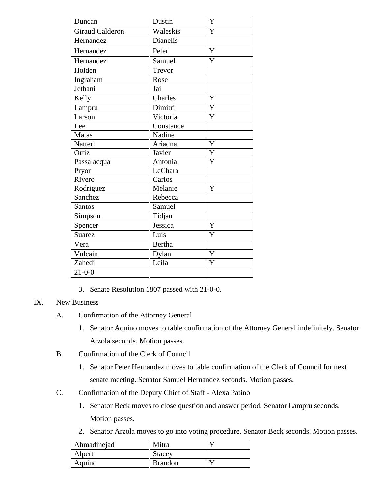| Duncan                 | Dustin        | Y              |
|------------------------|---------------|----------------|
| <b>Giraud Calderon</b> | Waleskis      | Y              |
| Hernandez              | Dianelis      |                |
| Hernandez              | Peter         | Y              |
| Hernandez              | Samuel        | $\overline{Y}$ |
| Holden                 | Trevor        |                |
| Ingraham               | Rose          |                |
| Jethani                | Jai           |                |
| Kelly                  | Charles       | Y              |
| Lampru                 | Dimitri       | Y              |
| Larson                 | Victoria      | Y              |
| Lee                    | Constance     |                |
| <b>Matas</b>           | Nadine        |                |
| Natteri                | Ariadna       | Y              |
| Ortiz                  | Javier        | $\overline{Y}$ |
| Passalacqua            | Antonia       | Y              |
| Pryor                  | LeChara       |                |
| Rivero                 | Carlos        |                |
| Rodriguez              | Melanie       | Y              |
| Sanchez                | Rebecca       |                |
| <b>Santos</b>          | Samuel        |                |
| Simpson                | Tidjan        |                |
| Spencer                | Jessica       | Y              |
| <b>Suarez</b>          | Luis          | Y              |
| Vera                   | <b>Bertha</b> |                |
| Vulcain                | Dylan         | Y              |
| Zahedi                 | Leila         | Y              |
| $21 - 0 - 0$           |               |                |

3. Senate Resolution 1807 passed with 21-0-0.

## IX. New Business

- A. Confirmation of the Attorney General
	- 1. Senator Aquino moves to table confirmation of the Attorney General indefinitely. Senator Arzola seconds. Motion passes.
- B. Confirmation of the Clerk of Council
	- 1. Senator Peter Hernandez moves to table confirmation of the Clerk of Council for next senate meeting. Senator Samuel Hernandez seconds. Motion passes.
- C. Confirmation of the Deputy Chief of Staff Alexa Patino
	- 1. Senator Beck moves to close question and answer period. Senator Lampru seconds. Motion passes.
	- 2. Senator Arzola moves to go into voting procedure. Senator Beck seconds. Motion passes.

| Ahmadinejad | Mitra          |  |
|-------------|----------------|--|
| Alpert      | Stacey         |  |
| Aquino      | <b>Brandon</b> |  |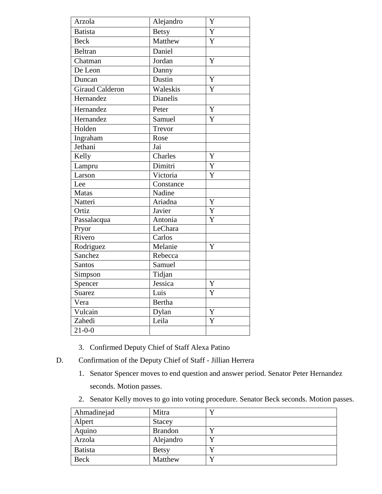| Arzola                 | Alejandro | Y                       |
|------------------------|-----------|-------------------------|
| <b>Batista</b>         | Betsy     | $\overline{Y}$          |
| <b>Beck</b>            | Matthew   | $\overline{Y}$          |
| <b>Beltran</b>         | Daniel    |                         |
| Chatman                | Jordan    | Y                       |
| De Leon                | Danny     |                         |
| Duncan                 | Dustin    | $\overline{Y}$          |
| <b>Giraud Calderon</b> | Waleskis  | Y                       |
| Hernandez              | Dianelis  |                         |
| Hernandez              | Peter     | $\overline{Y}$          |
| Hernandez              | Samuel    | Y                       |
| Holden                 | Trevor    |                         |
| Ingraham               | Rose      |                         |
| Jethani                | Jai       |                         |
| Kelly                  | Charles   | Y                       |
| Lampru                 | Dimitri   | $\overline{Y}$          |
| Larson                 | Victoria  | Y                       |
| Lee                    | Constance |                         |
| Matas                  | Nadine    |                         |
| Natteri                | Ariadna   | Y                       |
| Ortiz                  | Javier    | $\overline{Y}$          |
| Passalacqua            | Antonia   | $\overline{Y}$          |
| Pryor                  | LeChara   |                         |
| Rivero                 | Carlos    |                         |
| Rodriguez              | Melanie   | Y                       |
| Sanchez                | Rebecca   |                         |
| Santos                 | Samuel    |                         |
| Simpson                | Tidjan    |                         |
| Spencer                | Jessica   | Y                       |
| <b>Suarez</b>          | Luis      | $\overline{\mathrm{Y}}$ |
| Vera                   | Bertha    |                         |
| Vulcain                | Dylan     | Y                       |
| Zahedi                 | Leila     | $\overline{\mathsf{Y}}$ |
| $21 - 0 - 0$           |           |                         |

- 3. Confirmed Deputy Chief of Staff Alexa Patino
- D. Confirmation of the Deputy Chief of Staff Jillian Herrera
	- 1. Senator Spencer moves to end question and answer period. Senator Peter Hernandez seconds. Motion passes.
	- 2. Senator Kelly moves to go into voting procedure. Senator Beck seconds. Motion passes.

| Ahmadinejad | Mitra          |  |
|-------------|----------------|--|
| Alpert      | <b>Stacey</b>  |  |
| Aquino      | <b>Brandon</b> |  |
| Arzola      | Alejandro      |  |
| Batista     | <b>Betsy</b>   |  |
| <b>Beck</b> | Matthew        |  |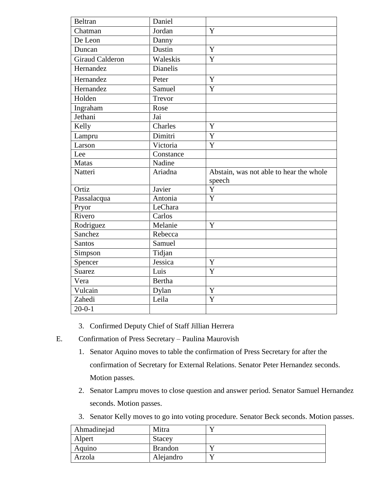| Beltran                | Daniel        |                                                   |
|------------------------|---------------|---------------------------------------------------|
| Chatman                | Jordan        | Y                                                 |
| De Leon                | Danny         |                                                   |
| Duncan                 | Dustin        | Y                                                 |
| <b>Giraud Calderon</b> | Waleskis      | $\overline{Y}$                                    |
| Hernandez              | Dianelis      |                                                   |
| Hernandez              | Peter         | $\overline{Y}$                                    |
| Hernandez              | Samuel        | $\overline{Y}$                                    |
| Holden                 | Trevor        |                                                   |
| Ingraham               | Rose          |                                                   |
| Jethani                | Jai           |                                                   |
| Kelly                  | Charles       | Y                                                 |
| Lampru                 | Dimitri       | $\overline{Y}$                                    |
| Larson                 | Victoria      | $\overline{Y}$                                    |
| Lee                    | Constance     |                                                   |
| <b>Matas</b>           | Nadine        |                                                   |
|                        |               |                                                   |
| Natteri                | Ariadna       | Abstain, was not able to hear the whole<br>speech |
| Ortiz                  | Javier        | $\mathbf Y$                                       |
| Passalacqua            | Antonia       | Y                                                 |
| Pryor                  | LeChara       |                                                   |
| Rivero                 | Carlos        |                                                   |
| Rodriguez              | Melanie       | Y                                                 |
| Sanchez                | Rebecca       |                                                   |
| Santos                 | Samuel        |                                                   |
| Simpson                | Tidjan        |                                                   |
| Spencer                | Jessica       | Y                                                 |
| <b>Suarez</b>          | Luis          | Y                                                 |
| Vera                   | <b>Bertha</b> |                                                   |
| Vulcain                | Dylan         | Y                                                 |
| Zahedi                 | Leila         | $\overline{\text{Y}}$                             |

- 3. Confirmed Deputy Chief of Staff Jillian Herrera
- E. Confirmation of Press Secretary Paulina Maurovish
	- 1. Senator Aquino moves to table the confirmation of Press Secretary for after the confirmation of Secretary for External Relations. Senator Peter Hernandez seconds. Motion passes.
	- 2. Senator Lampru moves to close question and answer period. Senator Samuel Hernandez seconds. Motion passes.
	- 3. Senator Kelly moves to go into voting procedure. Senator Beck seconds. Motion passes.

| Ahmadinejad | Mitra          |  |
|-------------|----------------|--|
| Alpert      | <b>Stacey</b>  |  |
| Aquino      | <b>Brandon</b> |  |
| Arzola      | Alejandro      |  |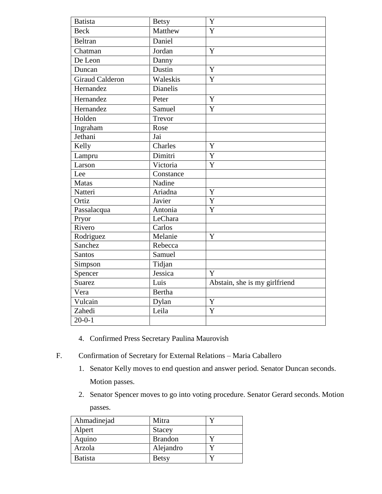| <b>Batista</b>  | <b>Betsy</b>                  | Y                             |
|-----------------|-------------------------------|-------------------------------|
| <b>Beck</b>     | Matthew                       | $\overline{Y}$                |
| <b>Beltran</b>  | Daniel                        |                               |
| Chatman         | Jordan                        | $\overline{Y}$                |
| De Leon         | Danny                         |                               |
| Duncan          | Dustin                        | $\overline{Y}$                |
| Giraud Calderon | Waleskis                      | $\overline{Y}$                |
| Hernandez       | <b>Dianelis</b>               |                               |
| Hernandez       | Peter                         | Y                             |
| Hernandez       | Samuel                        | Y                             |
| Holden          | Trevor                        |                               |
| Ingraham        | Rose                          |                               |
| Jethani         | Jai                           |                               |
| Kelly           | Charles                       | Y                             |
| Lampru          | Dimitri                       | $\overline{Y}$                |
| Larson          | Victoria                      | $\overline{Y}$                |
| Lee             | Constance                     |                               |
| Matas           | Nadine                        |                               |
| Natteri         | Ariadna                       | $\mathbf Y$                   |
| Ortiz           | Javier                        | $\overline{Y}$                |
| Passalacqua     | Antonia                       | $\overline{Y}$                |
| Pryor           | LeChara                       |                               |
| Rivero          | Carlos                        |                               |
| Rodriguez       | Melanie                       | $\mathbf Y$                   |
| Sanchez         | Rebecca                       |                               |
| Santos          | $\overline{\mathbf{S}}$ amuel |                               |
| Simpson         | Tidjan                        |                               |
| Spencer         | Jessica                       | Y                             |
| <b>Suarez</b>   | Luis                          | Abstain, she is my girlfriend |
| Vera            | <b>Bertha</b>                 |                               |
| Vulcain         | Dylan                         | Y                             |
| Zahedi          | Leila                         | $\overline{Y}$                |
| $20 - 0 - 1$    |                               |                               |

- 4. Confirmed Press Secretary Paulina Maurovish
- F. Confirmation of Secretary for External Relations Maria Caballero
	- 1. Senator Kelly moves to end question and answer period. Senator Duncan seconds. Motion passes.
	- 2. Senator Spencer moves to go into voting procedure. Senator Gerard seconds. Motion passes.

| Ahmadinejad    | Mitra          |  |
|----------------|----------------|--|
| Alpert         | <b>Stacey</b>  |  |
| Aquino         | <b>Brandon</b> |  |
| Arzola         | Alejandro      |  |
| <b>Batista</b> | <b>Betsy</b>   |  |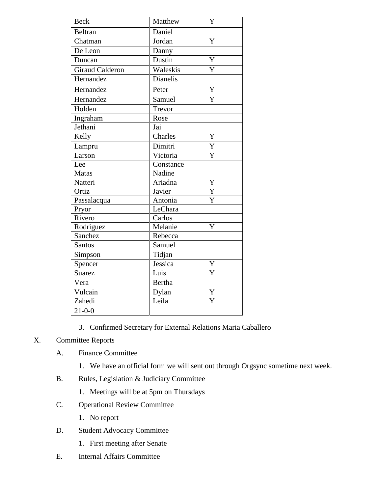| <b>Beck</b>     | Matthew       | Y                       |
|-----------------|---------------|-------------------------|
| Beltran         | Daniel        |                         |
| Chatman         | Jordan        | Y                       |
| De Leon         | Danny         |                         |
| Duncan          | Dustin        | Y                       |
| Giraud Calderon | Waleskis      | Y                       |
| Hernandez       | Dianelis      |                         |
| Hernandez       | Peter         | Y                       |
| Hernandez       | Samuel        | Y                       |
| Holden          | Trevor        |                         |
| Ingraham        | Rose          |                         |
| Jethani         | Jai           |                         |
| Kelly           | Charles       | $\mathbf Y$             |
| Lampru          | Dimitri       | Y                       |
| Larson          | Victoria      | Y                       |
| Lee             | Constance     |                         |
| <b>Matas</b>    | Nadine        |                         |
| Natteri         | Ariadna       | Y                       |
| Ortiz           | Javier        | $\overline{Y}$          |
| Passalacqua     | Antonia       | Y                       |
| Pryor           | LeChara       |                         |
| Rivero          | Carlos        |                         |
| Rodriguez       | Melanie       | Y                       |
| Sanchez         | Rebecca       |                         |
| Santos          | Samuel        |                         |
| Simpson         | Tidjan        |                         |
| Spencer         | Jessica       | Y                       |
| <b>Suarez</b>   | Luis          | Y                       |
| Vera            | <b>Bertha</b> |                         |
| Vulcain         | Dylan         | $\overline{\mathrm{Y}}$ |
| Zahedi          | Leila         | Y                       |
| $21 - 0 - 0$    |               |                         |

3. Confirmed Secretary for External Relations Maria Caballero

# X. Committee Reports

- A. Finance Committee
	- 1. We have an official form we will sent out through Orgsync sometime next week.
- B. Rules, Legislation & Judiciary Committee
	- 1. Meetings will be at 5pm on Thursdays
- C. Operational Review Committee
	- 1. No report
- D. Student Advocacy Committee
	- 1. First meeting after Senate
- E. Internal Affairs Committee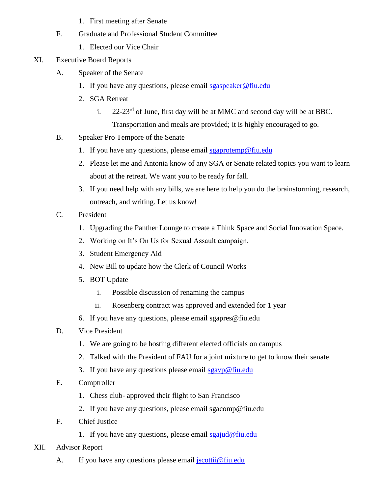- 1. First meeting after Senate
- F. Graduate and Professional Student Committee
	- 1. Elected our Vice Chair
- XI. Executive Board Reports
	- A. Speaker of the Senate
		- 1. If you have any questions, please email [sgaspeaker@fiu.edu](mailto:sgaspeaker@fiu.edu)
		- 2. SGA Retreat
			- i.  $22-23^{rd}$  of June, first day will be at MMC and second day will be at BBC. Transportation and meals are provided; it is highly encouraged to go.
	- B. Speaker Pro Tempore of the Senate
		- 1. If you have any questions, please email [sgaprotemp@fiu.edu](mailto:sgaprotemp@fiu.edu)
		- 2. Please let me and Antonia know of any SGA or Senate related topics you want to learn about at the retreat. We want you to be ready for fall.
		- 3. If you need help with any bills, we are here to help you do the brainstorming, research, outreach, and writing. Let us know!
	- C. President
		- 1. Upgrading the Panther Lounge to create a Think Space and Social Innovation Space.
		- 2. Working on It's On Us for Sexual Assault campaign.
		- 3. Student Emergency Aid
		- 4. New Bill to update how the Clerk of Council Works
		- 5. BOT Update
			- i. Possible discussion of renaming the campus
			- ii. Rosenberg contract was approved and extended for 1 year
		- 6. If you have any questions, please email sgapres@fiu.edu
	- D. Vice President
		- 1. We are going to be hosting different elected officials on campus
		- 2. Talked with the President of FAU for a joint mixture to get to know their senate.
		- 3. If you have any questions please email  $\frac{\text{sgayp@fiu.edu}}{\text{sgayp@fiu.edu}}$
	- E. Comptroller
		- 1. Chess club- approved their flight to San Francisco
		- 2. If you have any questions, please email sgacomp@fiu.edu
	- F. Chief Justice
		- 1. If you have any questions, please email  $sgajud@fiu.edu$
- XII. Advisor Report
	- A. If you have any questions please email [jscottii@fiu.edu](mailto:jscottii@fiu.edu)